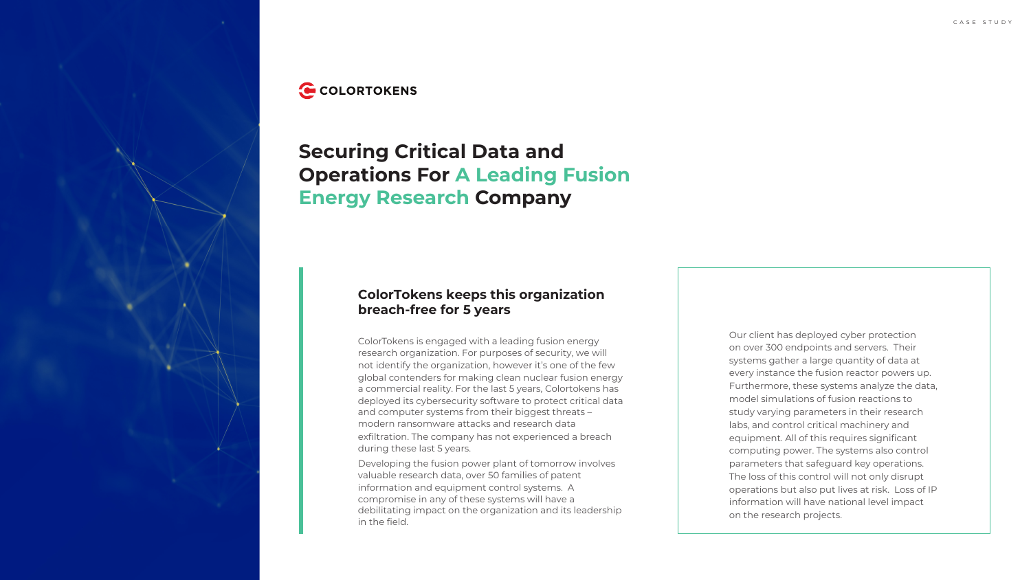





# **Securing Critical Data and Operations For A Leading Fusion Energy Research Company**

## **ColorTokens keeps this organization breach-free for 5 years**

ColorTokens is engaged with a leading fusion energy research organization. For purposes of security, we will not identify the organization, however it's one of the few global contenders for making clean nuclear fusion energy a commercial reality. For the last 5 years, Colortokens has deployed its cybersecurity software to protect critical data and computer systems from their biggest threats – modern ransomware attacks and research data exfiltration. The company has not experienced a breach during these last 5 years.

Developing the fusion power plant of tomorrow involves valuable research data, over 50 families of patent information and equipment control systems. A compromise in any of these systems will have a debilitating impact on the organization and its leadership in the field.

Our client has deployed cyber protection on over 300 endpoints and servers. Their systems gather a large quantity of data at every instance the fusion reactor powers up. Furthermore, these systems analyze the data, model simulations of fusion reactions to study varying parameters in their research labs, and control critical machinery and equipment. All of this requires significant computing power. The systems also control parameters that safeguard key operations. The loss of this control will not only disrupt operations but also put lives at risk. Loss of IP information will have national level impact on the research projects.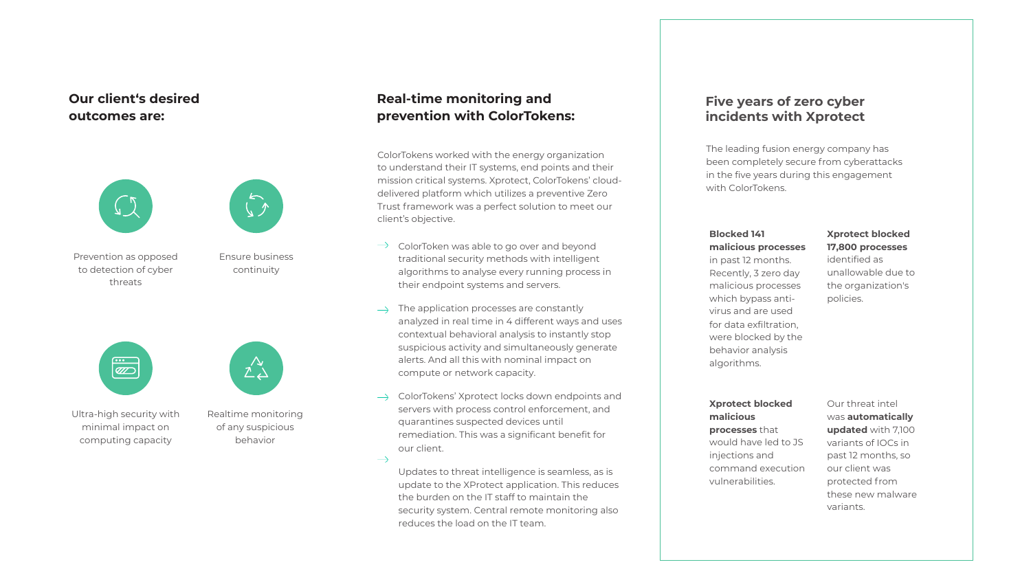### **Our client's desired outcomes are:**



# **Real-time monitoring and prevention with ColorTokens:**

Prevention as opposed to detection of cyber threats



Ultra-high security with minimal impact on computing capacity



Ensure business continuity



Realtime monitoring of any suspicious behavior

ColorToken was able to go over and beyond traditional security methods with intelligent algorithms to analyse every running process in

- $\rightarrow$ their endpoint systems and servers.
- The application processes are constantly  $\rightarrow$ compute or network capacity.
- $\rightarrow$ quarantines suspected devices until our client.

 $\rightarrow$ 

analyzed in real time in 4 different ways and uses contextual behavioral analysis to instantly stop suspicious activity and simultaneously generate alerts. And all this with nominal impact on

ColorTokens' Xprotect locks down endpoints and servers with process control enforcement, and remediation. This was a significant benefit for

Updates to threat intelligence is seamless, as is update to the XProtect application. This reduces the burden on the IT staff to maintain the security system. Central remote monitoring also reduces the load on the IT team.

#### **Blocked 141 malicious processes**

in past 12 months. Recently, 3 zero day malicious processes which bypass antivirus and are used for data exfiltration, were blocked by the behavior analysis algorithms.

### **Xprotect blocked malicious**

**processes** that would have led to JS injections and command execution vulnerabilities.

### **Xprotect blocked 17,800 processes**

identified as unallowable due to the organization's policies.

#### Our threat intel was **automatically updated** with 7,100 variants of IOCs in past 12 months, so our client was protected from these new malware variants.



ColorTokens worked with the energy organization to understand their IT systems, end points and their mission critical systems. Xprotect, ColorTokens' clouddelivered platform which utilizes a preventive Zero Trust framework was a perfect solution to meet our client's objective.

### **Five years of zero cyber incidents with Xprotect**

The leading fusion energy company has been completely secure from cyberattacks in the five years during this engagement with ColorTokens.